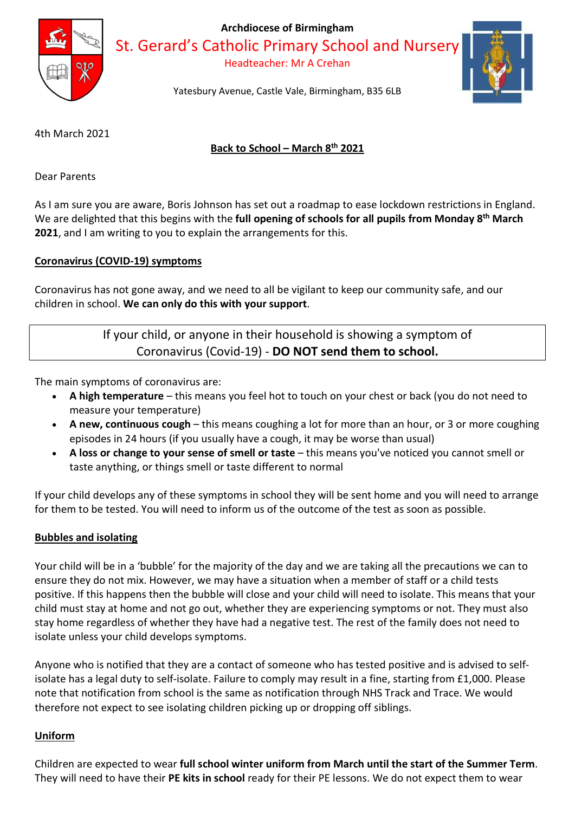

Archdiocese of Birmingham

St. Gerard's Catholic Primary School and Nursery

Headteacher: Mr A Crehan



Yatesbury Avenue, Castle Vale, Birmingham, B35 6LB

4th March 2021

# Back to School – March 8th 2021

Dear Parents

As I am sure you are aware, Boris Johnson has set out a roadmap to ease lockdown restrictions in England. We are delighted that this begins with the full opening of schools for all pupils from Monday 8<sup>th</sup> March 2021, and I am writing to you to explain the arrangements for this.

# Coronavirus (COVID-19) symptoms

Coronavirus has not gone away, and we need to all be vigilant to keep our community safe, and our children in school. We can only do this with your support.

# If your child, or anyone in their household is showing a symptom of Coronavirus (Covid-19) - DO NOT send them to school.

The main symptoms of coronavirus are:

- A high temperature this means you feel hot to touch on your chest or back (you do not need to measure your temperature)
- A new, continuous cough this means coughing a lot for more than an hour, or 3 or more coughing episodes in 24 hours (if you usually have a cough, it may be worse than usual)
- A loss or change to your sense of smell or taste this means you've noticed you cannot smell or taste anything, or things smell or taste different to normal

If your child develops any of these symptoms in school they will be sent home and you will need to arrange for them to be tested. You will need to inform us of the outcome of the test as soon as possible.

## Bubbles and isolating

Your child will be in a 'bubble' for the majority of the day and we are taking all the precautions we can to ensure they do not mix. However, we may have a situation when a member of staff or a child tests positive. If this happens then the bubble will close and your child will need to isolate. This means that your child must stay at home and not go out, whether they are experiencing symptoms or not. They must also stay home regardless of whether they have had a negative test. The rest of the family does not need to isolate unless your child develops symptoms.

Anyone who is notified that they are a contact of someone who has tested positive and is advised to selfisolate has a legal duty to self-isolate. Failure to comply may result in a fine, starting from £1,000. Please note that notification from school is the same as notification through NHS Track and Trace. We would therefore not expect to see isolating children picking up or dropping off siblings.

## Uniform

Children are expected to wear full school winter uniform from March until the start of the Summer Term. They will need to have their PE kits in school ready for their PE lessons. We do not expect them to wear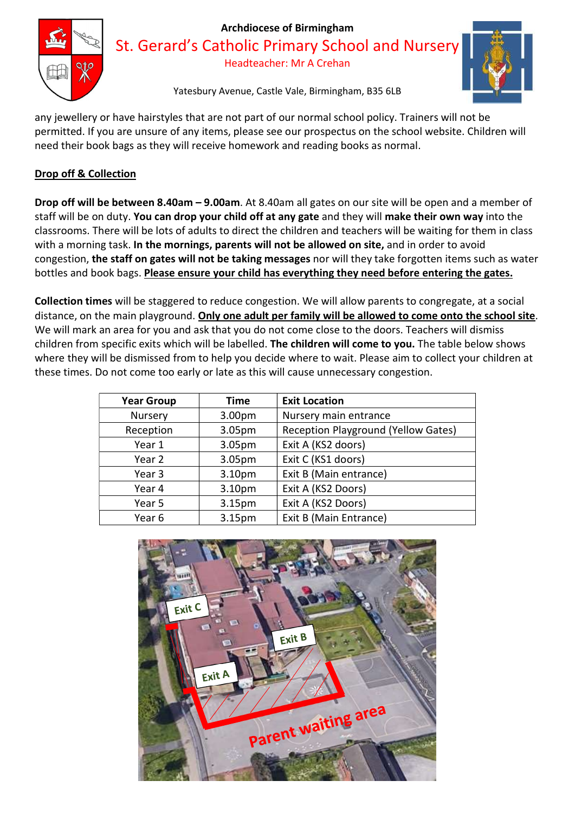

# Archdiocese of Birmingham

St. Gerard's Catholic Primary School and Nursery

Headteacher: Mr A Crehan



Yatesbury Avenue, Castle Vale, Birmingham, B35 6LB

any jewellery or have hairstyles that are not part of our normal school policy. Trainers will not be permitted. If you are unsure of any items, please see our prospectus on the school website. Children will need their book bags as they will receive homework and reading books as normal.

# Drop off & Collection

Drop off will be between 8.40am – 9.00am. At 8.40am all gates on our site will be open and a member of staff will be on duty. You can drop your child off at any gate and they will make their own way into the classrooms. There will be lots of adults to direct the children and teachers will be waiting for them in class with a morning task. In the mornings, parents will not be allowed on site, and in order to avoid congestion, the staff on gates will not be taking messages nor will they take forgotten items such as water bottles and book bags. Please ensure your child has everything they need before entering the gates.

Collection times will be staggered to reduce congestion. We will allow parents to congregate, at a social distance, on the main playground. Only one adult per family will be allowed to come onto the school site. We will mark an area for you and ask that you do not come close to the doors. Teachers will dismiss children from specific exits which will be labelled. The children will come to you. The table below shows where they will be dismissed from to help you decide where to wait. Please aim to collect your children at these times. Do not come too early or late as this will cause unnecessary congestion.

| <b>Year Group</b> | <b>Time</b> | <b>Exit Location</b>                |
|-------------------|-------------|-------------------------------------|
| Nursery           | 3.00pm      | Nursery main entrance               |
| Reception         | 3.05pm      | Reception Playground (Yellow Gates) |
| Year 1            | 3.05pm      | Exit A (KS2 doors)                  |
| Year 2            | 3.05pm      | Exit C (KS1 doors)                  |
| Year 3            | 3.10pm      | Exit B (Main entrance)              |
| Year 4            | 3.10pm      | Exit A (KS2 Doors)                  |
| Year 5            | 3.15pm      | Exit A (KS2 Doors)                  |
| Year 6            | 3.15pm      | Exit B (Main Entrance)              |